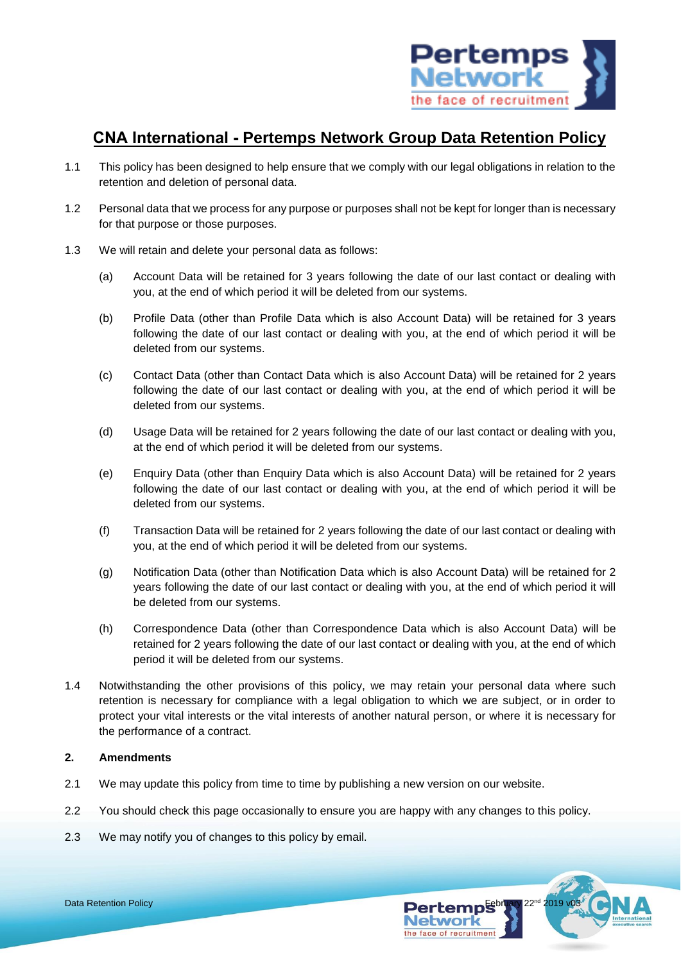

# **CNA International - Pertemps Network Group Data Retention Policy**

- 1.1 This policy has been designed to help ensure that we comply with our legal obligations in relation to the retention and deletion of personal data.
- 1.2 Personal data that we process for any purpose or purposes shall not be kept for longer than is necessary for that purpose or those purposes.
- 1.3 We will retain and delete your personal data as follows:
	- (a) Account Data will be retained for 3 years following the date of our last contact or dealing with you, at the end of which period it will be deleted from our systems.
	- (b) Profile Data (other than Profile Data which is also Account Data) will be retained for 3 years following the date of our last contact or dealing with you, at the end of which period it will be deleted from our systems.
	- (c) Contact Data (other than Contact Data which is also Account Data) will be retained for 2 years following the date of our last contact or dealing with you, at the end of which period it will be deleted from our systems.
	- (d) Usage Data will be retained for 2 years following the date of our last contact or dealing with you, at the end of which period it will be deleted from our systems.
	- (e) Enquiry Data (other than Enquiry Data which is also Account Data) will be retained for 2 years following the date of our last contact or dealing with you, at the end of which period it will be deleted from our systems.
	- (f) Transaction Data will be retained for 2 years following the date of our last contact or dealing with you, at the end of which period it will be deleted from our systems.
	- (g) Notification Data (other than Notification Data which is also Account Data) will be retained for 2 years following the date of our last contact or dealing with you, at the end of which period it will be deleted from our systems.
	- (h) Correspondence Data (other than Correspondence Data which is also Account Data) will be retained for 2 years following the date of our last contact or dealing with you, at the end of which period it will be deleted from our systems.
- 1.4 Notwithstanding the other provisions of this policy, we may retain your personal data where such retention is necessary for compliance with a legal obligation to which we are subject, or in order to protect your vital interests or the vital interests of another natural person, or where it is necessary for the performance of a contract.

## **2. Amendments**

- 2.1 We may update this policy from time to time by publishing a new version on our website.
- 2.2 You should check this page occasionally to ensure you are happy with any changes to this policy.
- 2.3 We may notify you of changes to this policy by email.